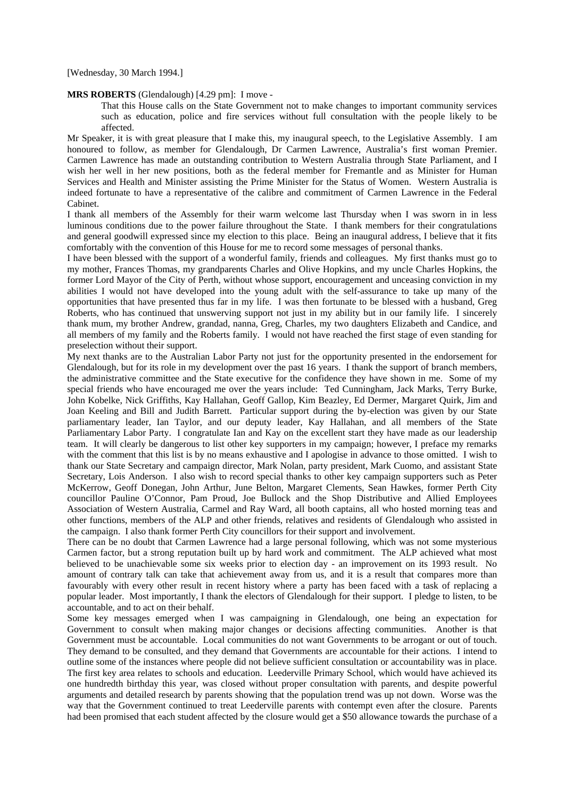[Wednesday, 30 March 1994.]

## **MRS ROBERTS** (Glendalough) [4.29 pm]: I move -

That this House calls on the State Government not to make changes to important community services such as education, police and fire services without full consultation with the people likely to be affected.

Mr Speaker, it is with great pleasure that I make this, my inaugural speech, to the Legislative Assembly. I am honoured to follow, as member for Glendalough, Dr Carmen Lawrence, Australia's first woman Premier. Carmen Lawrence has made an outstanding contribution to Western Australia through State Parliament, and I wish her well in her new positions, both as the federal member for Fremantle and as Minister for Human Services and Health and Minister assisting the Prime Minister for the Status of Women. Western Australia is indeed fortunate to have a representative of the calibre and commitment of Carmen Lawrence in the Federal Cabinet.

I thank all members of the Assembly for their warm welcome last Thursday when I was sworn in in less luminous conditions due to the power failure throughout the State. I thank members for their congratulations and general goodwill expressed since my election to this place. Being an inaugural address, I believe that it fits comfortably with the convention of this House for me to record some messages of personal thanks.

I have been blessed with the support of a wonderful family, friends and colleagues. My first thanks must go to my mother, Frances Thomas, my grandparents Charles and Olive Hopkins, and my uncle Charles Hopkins, the former Lord Mayor of the City of Perth, without whose support, encouragement and unceasing conviction in my abilities I would not have developed into the young adult with the self-assurance to take up many of the opportunities that have presented thus far in my life. I was then fortunate to be blessed with a husband, Greg Roberts, who has continued that unswerving support not just in my ability but in our family life. I sincerely thank mum, my brother Andrew, grandad, nanna, Greg, Charles, my two daughters Elizabeth and Candice, and all members of my family and the Roberts family. I would not have reached the first stage of even standing for preselection without their support.

My next thanks are to the Australian Labor Party not just for the opportunity presented in the endorsement for Glendalough, but for its role in my development over the past 16 years. I thank the support of branch members, the administrative committee and the State executive for the confidence they have shown in me. Some of my special friends who have encouraged me over the years include: Ted Cunningham, Jack Marks, Terry Burke, John Kobelke, Nick Griffiths, Kay Hallahan, Geoff Gallop, Kim Beazley, Ed Dermer, Margaret Quirk, Jim and Joan Keeling and Bill and Judith Barrett. Particular support during the by-election was given by our State parliamentary leader, Ian Taylor, and our deputy leader, Kay Hallahan, and all members of the State Parliamentary Labor Party. I congratulate Ian and Kay on the excellent start they have made as our leadership team. It will clearly be dangerous to list other key supporters in my campaign; however, I preface my remarks with the comment that this list is by no means exhaustive and I apologise in advance to those omitted. I wish to thank our State Secretary and campaign director, Mark Nolan, party president, Mark Cuomo, and assistant State Secretary, Lois Anderson. I also wish to record special thanks to other key campaign supporters such as Peter McKerrow, Geoff Donegan, John Arthur, June Belton, Margaret Clements, Sean Hawkes, former Perth City councillor Pauline O'Connor, Pam Proud, Joe Bullock and the Shop Distributive and Allied Employees Association of Western Australia, Carmel and Ray Ward, all booth captains, all who hosted morning teas and other functions, members of the ALP and other friends, relatives and residents of Glendalough who assisted in the campaign. I also thank former Perth City councillors for their support and involvement.

There can be no doubt that Carmen Lawrence had a large personal following, which was not some mysterious Carmen factor, but a strong reputation built up by hard work and commitment. The ALP achieved what most believed to be unachievable some six weeks prior to election day - an improvement on its 1993 result. No amount of contrary talk can take that achievement away from us, and it is a result that compares more than favourably with every other result in recent history where a party has been faced with a task of replacing a popular leader. Most importantly, I thank the electors of Glendalough for their support. I pledge to listen, to be accountable, and to act on their behalf.

Some key messages emerged when I was campaigning in Glendalough, one being an expectation for Government to consult when making major changes or decisions affecting communities. Another is that Government must be accountable. Local communities do not want Governments to be arrogant or out of touch. They demand to be consulted, and they demand that Governments are accountable for their actions. I intend to outline some of the instances where people did not believe sufficient consultation or accountability was in place. The first key area relates to schools and education. Leederville Primary School, which would have achieved its one hundredth birthday this year, was closed without proper consultation with parents, and despite powerful arguments and detailed research by parents showing that the population trend was up not down. Worse was the way that the Government continued to treat Leederville parents with contempt even after the closure. Parents had been promised that each student affected by the closure would get a \$50 allowance towards the purchase of a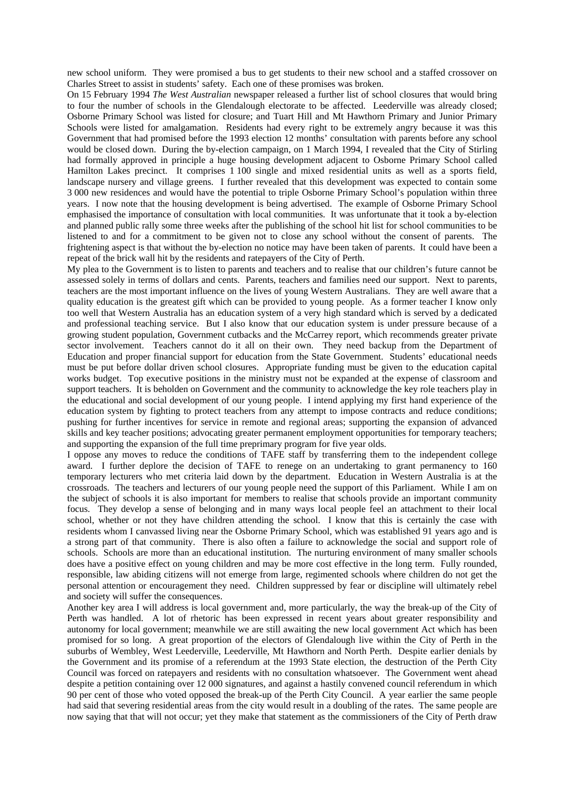new school uniform. They were promised a bus to get students to their new school and a staffed crossover on Charles Street to assist in students' safety. Each one of these promises was broken.

On 15 February 1994 *The West Australian* newspaper released a further list of school closures that would bring to four the number of schools in the Glendalough electorate to be affected. Leederville was already closed; Osborne Primary School was listed for closure; and Tuart Hill and Mt Hawthorn Primary and Junior Primary Schools were listed for amalgamation. Residents had every right to be extremely angry because it was this Government that had promised before the 1993 election 12 months' consultation with parents before any school would be closed down. During the by-election campaign, on 1 March 1994, I revealed that the City of Stirling had formally approved in principle a huge housing development adjacent to Osborne Primary School called Hamilton Lakes precinct. It comprises 1 100 single and mixed residential units as well as a sports field. landscape nursery and village greens. I further revealed that this development was expected to contain some 3 000 new residences and would have the potential to triple Osborne Primary School's population within three years. I now note that the housing development is being advertised. The example of Osborne Primary School emphasised the importance of consultation with local communities. It was unfortunate that it took a by-election and planned public rally some three weeks after the publishing of the school hit list for school communities to be listened to and for a commitment to be given not to close any school without the consent of parents. The frightening aspect is that without the by-election no notice may have been taken of parents. It could have been a repeat of the brick wall hit by the residents and ratepayers of the City of Perth.

My plea to the Government is to listen to parents and teachers and to realise that our children's future cannot be assessed solely in terms of dollars and cents. Parents, teachers and families need our support. Next to parents, teachers are the most important influence on the lives of young Western Australians. They are well aware that a quality education is the greatest gift which can be provided to young people. As a former teacher I know only too well that Western Australia has an education system of a very high standard which is served by a dedicated and professional teaching service. But I also know that our education system is under pressure because of a growing student population, Government cutbacks and the McCarrey report, which recommends greater private sector involvement. Teachers cannot do it all on their own. They need backup from the Department of Education and proper financial support for education from the State Government. Students' educational needs must be put before dollar driven school closures. Appropriate funding must be given to the education capital works budget. Top executive positions in the ministry must not be expanded at the expense of classroom and support teachers. It is beholden on Government and the community to acknowledge the key role teachers play in the educational and social development of our young people. I intend applying my first hand experience of the education system by fighting to protect teachers from any attempt to impose contracts and reduce conditions; pushing for further incentives for service in remote and regional areas; supporting the expansion of advanced skills and key teacher positions; advocating greater permanent employment opportunities for temporary teachers; and supporting the expansion of the full time preprimary program for five year olds.

I oppose any moves to reduce the conditions of TAFE staff by transferring them to the independent college award. I further deplore the decision of TAFE to renege on an undertaking to grant permanency to 160 temporary lecturers who met criteria laid down by the department. Education in Western Australia is at the crossroads. The teachers and lecturers of our young people need the support of this Parliament. While I am on the subject of schools it is also important for members to realise that schools provide an important community focus. They develop a sense of belonging and in many ways local people feel an attachment to their local school, whether or not they have children attending the school. I know that this is certainly the case with residents whom I canvassed living near the Osborne Primary School, which was established 91 years ago and is a strong part of that community. There is also often a failure to acknowledge the social and support role of schools. Schools are more than an educational institution. The nurturing environment of many smaller schools does have a positive effect on young children and may be more cost effective in the long term. Fully rounded, responsible, law abiding citizens will not emerge from large, regimented schools where children do not get the personal attention or encouragement they need. Children suppressed by fear or discipline will ultimately rebel and society will suffer the consequences.

Another key area I will address is local government and, more particularly, the way the break-up of the City of Perth was handled. A lot of rhetoric has been expressed in recent years about greater responsibility and autonomy for local government; meanwhile we are still awaiting the new local government Act which has been promised for so long. A great proportion of the electors of Glendalough live within the City of Perth in the suburbs of Wembley, West Leederville, Leederville, Mt Hawthorn and North Perth. Despite earlier denials by the Government and its promise of a referendum at the 1993 State election, the destruction of the Perth City Council was forced on ratepayers and residents with no consultation whatsoever. The Government went ahead despite a petition containing over 12 000 signatures, and against a hastily convened council referendum in which 90 per cent of those who voted opposed the break-up of the Perth City Council. A year earlier the same people had said that severing residential areas from the city would result in a doubling of the rates. The same people are now saying that that will not occur; yet they make that statement as the commissioners of the City of Perth draw